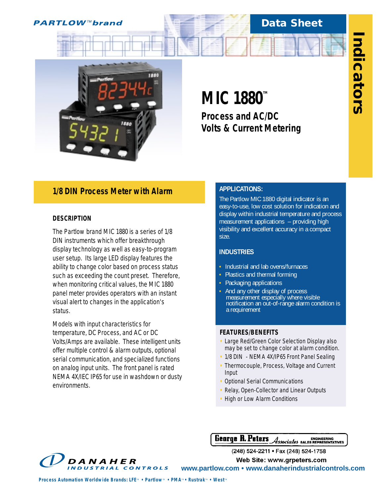# **PARTLOW™brand**

# **Data Sheet**



# **MIC 1880™**

*Process and AC/DC Volts & Current Metering*

# *1/8 DIN Process Meter with Alarm*

## **DESCRIPTION**

The Partlow brand MIC 1880 is a series of 1/8 DIN instruments which offer breakthrough display technology as well as easy-to-program user setup. Its large LED display features the ability to change color based on process status such as exceeding the count preset. Therefore, when monitoring critical values, the MIC 1880 panel meter provides operators with an instant visual alert to changes in the application's status.

Models with input characteristics for temperature, DC Process, and AC or DC Volts/Amps are available. These intelligent units offer multiple control & alarm outputs, optional serial communication, and specialized functions on analog input units. The front panel is rated NEMA 4X/IEC IP65 for use in washdown or dusty environments.

# **APPLICATIONS:**

The Partlow MIC 1880 digital indicator is an easy-to-use, low cost solution for indication and display within industrial temperature and process measurement applications – providing high visibility and excellent accuracy in a compact size.

# **INDUSTRIES**

- **•** Industrial and lab ovens/furnaces
- **•** Plastics and thermal forming
- **•** Packaging applications
- **•** And any other display of process measurement especially where visible notification an out-of-range alarm condition is a requirement

## **FEATURES/BENEFITS**

- **•** Large Red/Green Color Selection Display also may be set to change color at alarm condition.
- **•** 1/8 DIN NEMA 4X/IP65 Front Panel Sealing
- **•** Thermocouple, Process, Voltage and Current Input
- **•** Optional Serial Communications
- **•** Relay, Open-Collector and Linear Outputs
- **•** High or Low Alarm Conditions

Genrye R. Peters Associates BALES REPRESENTATIVES

(248) 524-2211 · Fax (248) 524-1758

**Web Site: www.grpeters.com** 

**www.partlow.com • www.danaherindustrialcontrols.com**

DANAHER **INDUSTRIAL CONTROLS** 

*Process Automation Worldwide Brands: LFE<sup><i>M*</sup> • Partlow<sup>*M*</sup> • PMA<sup>*M*</sup> • Rustrak<sup>*M*</sup> • West<sup>*M*</sup>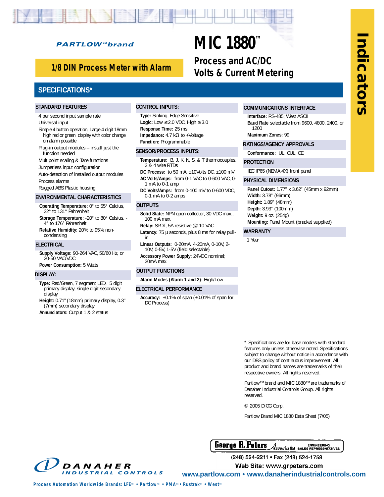# **Indicators**ndicators

# **PARTLOW™brand**

# *1/8 DIN Process Meter with Alarm*

# **SPECIFICATIONS\***

#### **STANDARD FEATURES**

4 per second input sample rate Universal input

- Simple 4 button operation, Large 4 digit 18mm high red or green display with color change on alarm possible
- Plug-in output modules install just the function needed
- Multipoint scaling & Tare functions
- Jumperless input configuration
- Auto-detection of installed output modules
- Process alarms
- Rugged ABS Plastic housing

# **ENVIRONMENTAL CHARACTERISTICS**

- **Operating Temperature:** 0° to 55° Celcius, 32° to 131° Fahrenheit
- **Storage Temperature:** -20° to 80° Celsius, 4° to 176° Fahrenheit
- **Relative Humidity:** 20% to 95% noncondensing

#### **ELECTRICAL**

**Supply Voltage:** 90-264 VAC, 50/60 Hz, or 20-50 VAC/VDC

**Power Consumption:** 5 Watts

#### **DISPLAY:**

- **Type:** Red/Green, 7 segment LED, 5 digit primary display, single digit secondary display
- **Height:** 0.71" (18mm) primary display, 0.3" (7mm) secondary display

**Annunciators:** Output 1 & 2 status

#### **CONTROL INPUTS:**

**Type:** Sinking, Edge Sensitive **Logic:** Low  $\leq$  2.0 VDC, High  $\geq$  3.0 **Response Time:** 25 ms **Impedance:** 4.7 kΩ to +Voltage **Function:** Programmable

#### **SENSOR/PROCESS INPUTS:**

- **Temperature:** B, J, K, N, S, & T thermocouples, 3 & 4 wire RTDs
- **DC Process:** to 50 mA, ±10Volts DC, ±100 mV **AC Volts/Amps:** from 0-1 VAC to 0-600 VAC, 0- 1 mA to 0-1 amp
- **DC Volts/Amps:** from 0-100 mV to 0-600 VDC, 0-1 mA to 0-2 amps

#### **OUTPUTS**

- **Solid State:** NPN open collector, 30 VDC max., 100 mA max.
- **Relay:** SPDT, 5A resistive @110 VAC

Latency: 75 µ seconds, plus 8 ms for relay pullin

**Linear Outputs:** 0-20mA, 4-20mA, 0-10V, 2- 10V, 0-5V, 1-5V (field selectable)

**Accessory Power Supply:** 24VDC nominal; 30mA max.

#### **OUTPUT FUNCTIONS**

**Alarm Modes (Alarm 1 and 2):** High/Low

#### **ELECTRICAL PERFORMANCE**

**Accuracy:** ±0.1% of span (±0.01% of span for DC Process)

## **COMMUNICATIONS INTERFACE**

**Interface:** RS-485; West ASCII **Baud Rate** selectable from 9600, 4800, 2400, or 1200

**Maximum Zones:** 99

- **RATINGS/AGENCY APPROVALS**
- **Conformance:** UL, CUL, CE

#### **PROTECTION**

**MIC 1880™**

*Process and AC/DC* 

*Volts & Current Metering*

IEC IP65 (NEMA 4X) front panel

#### **PHYSICAL DIMENSIONS**

**Panel Cutout:** 1.77" x 3.62" (45mm x 92mm) **Width:** 3.78" (96mm) **Height:** 1.89" (48mm) **Depth:** 3.93" (100mm) **Weight:** 9 oz. (254g) **Mounting:** Panel Mount (bracket supplied)

#### **WARRANTY**

1 Year

\* Specifications are for base models with standard features only unless otherwise noted. Specifications subject to change without notice in accordance with our DBS policy of continuous improvement. All product and brand names are trademarks of their respective owners. All rights reserved.

Partlow™ brand and MIC 1880™ are trademarks of Danaher Industrial Controls Group. All rights reserved.

© 2005 DICG Corp.

Partlow Brand MIC 1880 Data Sheet (7/05)

**Genrye R. Peters Associates BALES REPRESENTATIVES** 



(248) 524-2211 · Fax (248) 524-1758

**Web Site: www.grpeters.com** 

**www.partlow.com • www.danaherindustrialcontrols.com**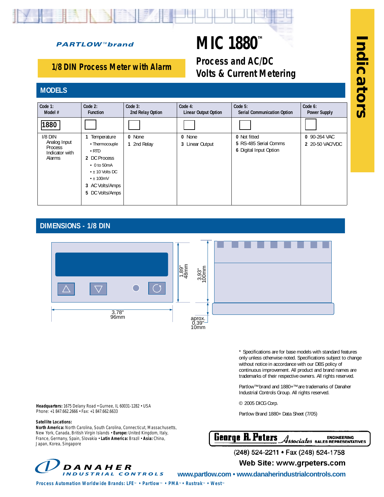# **PARTLOW™brand**

# **MIC 1880™**

*Process and AC/DC Volts & Current Metering*

# *1/8 DIN Process Meter with Alarm*

# **MODELS**



# **DIMENSIONS - 1/8 DIN**



\* Specifications are for base models with standard features only unless otherwise noted. Specifications subject to change without notice in accordance with our DBS policy of continuous improvement. All product and brand names are trademarks of their respective owners. All rights reserved.

Partlow™ brand and 1880+™ are trademarks of Danaher Industrial Controls Group. All rights reserved.

© 2005 DICG Corp.

Partlow Brand 1880+ Data Sheet (7/05)



(248) 524-2211 <del>•</del> Fax (248) 524-1

partlow.custserv@dancon.com partlow.techsupport@dancon.com

**Indicators**

hdicators

**Headquarters:** 1675 Delany Road • Gurnee, IL 60031-1282 • USA Phone: +1 847.662.2666 • Fax: +1 847.662.6633

#### **Satellite Locations:**

**North America:** North Carolina, South Carolina, Connecticut, Massachusetts, New York, Canada, British Virgin Islands • **Europe:** United Kingdom, Italy, France, Germany, Spain, Slovakia • **Latin America:** Brazil • **Asia:** China, Japan, Korea, Singapore



**www.partlow.com • www.danaherindustrialcontrols.com**

*Process Automation Worldwide Brands: LFE<sup><i>m*</sup> • Partlow<sup>*m*</sup> • PMA<sup>*m*</sup> • Rustrak<sup>*m*</sup> • West<sup>*m*</sup>